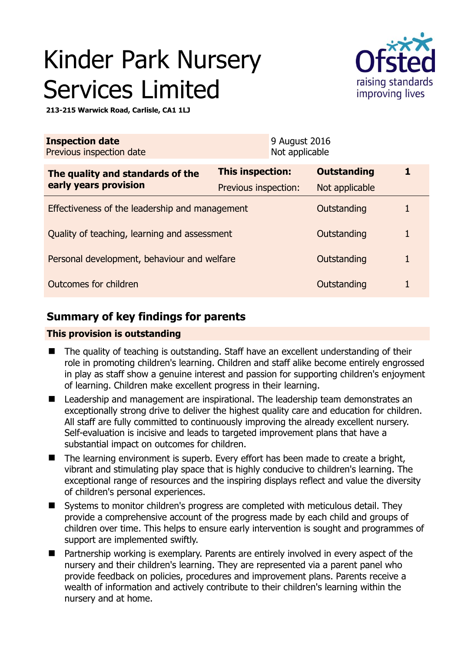# Kinder Park Nursery Services Limited



**213-215 Warwick Road, Carlisle, CA1 1LJ** 

| <b>Inspection date</b><br>Previous inspection date        |                      | 9 August 2016<br>Not applicable |                    |   |
|-----------------------------------------------------------|----------------------|---------------------------------|--------------------|---|
| The quality and standards of the<br>early years provision | This inspection:     |                                 | <b>Outstanding</b> | 1 |
|                                                           | Previous inspection: |                                 | Not applicable     |   |
| Effectiveness of the leadership and management            |                      |                                 | Outstanding        |   |
| Quality of teaching, learning and assessment              |                      |                                 | Outstanding        | 1 |
| Personal development, behaviour and welfare               |                      |                                 | Outstanding        | 1 |
| Outcomes for children<br>Outstanding                      |                      |                                 |                    |   |

## **Summary of key findings for parents**

## **This provision is outstanding**

- The quality of teaching is outstanding. Staff have an excellent understanding of their role in promoting children's learning. Children and staff alike become entirely engrossed in play as staff show a genuine interest and passion for supporting children's enjoyment of learning. Children make excellent progress in their learning.
- Leadership and management are inspirational. The leadership team demonstrates an exceptionally strong drive to deliver the highest quality care and education for children. All staff are fully committed to continuously improving the already excellent nursery. Self-evaluation is incisive and leads to targeted improvement plans that have a substantial impact on outcomes for children.
- The learning environment is superb. Every effort has been made to create a bright, vibrant and stimulating play space that is highly conducive to children's learning. The exceptional range of resources and the inspiring displays reflect and value the diversity of children's personal experiences.
- Systems to monitor children's progress are completed with meticulous detail. They provide a comprehensive account of the progress made by each child and groups of children over time. This helps to ensure early intervention is sought and programmes of support are implemented swiftly.
- Partnership working is exemplary. Parents are entirely involved in every aspect of the nursery and their children's learning. They are represented via a parent panel who provide feedback on policies, procedures and improvement plans. Parents receive a wealth of information and actively contribute to their children's learning within the nursery and at home.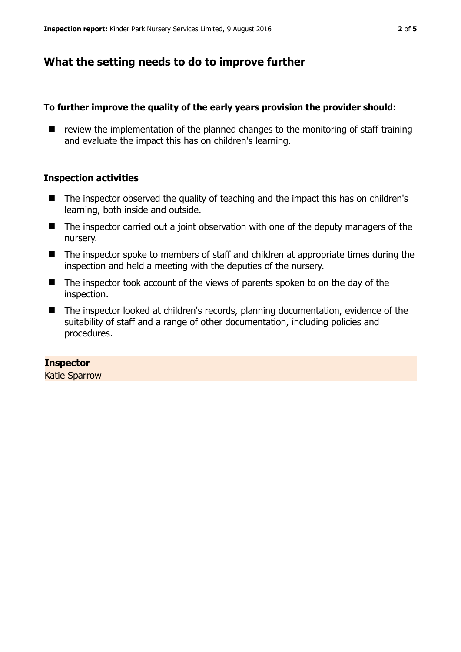## **What the setting needs to do to improve further**

#### **To further improve the quality of the early years provision the provider should:**

 $\blacksquare$  review the implementation of the planned changes to the monitoring of staff training and evaluate the impact this has on children's learning.

#### **Inspection activities**

- The inspector observed the quality of teaching and the impact this has on children's learning, both inside and outside.
- The inspector carried out a joint observation with one of the deputy managers of the nursery.
- The inspector spoke to members of staff and children at appropriate times during the inspection and held a meeting with the deputies of the nursery.
- The inspector took account of the views of parents spoken to on the day of the inspection.
- The inspector looked at children's records, planning documentation, evidence of the suitability of staff and a range of other documentation, including policies and procedures.

## **Inspector**

Katie Sparrow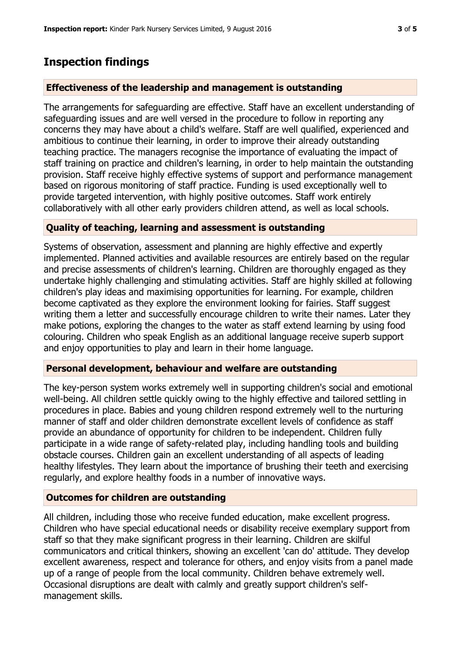# **Inspection findings**

## **Effectiveness of the leadership and management is outstanding**

The arrangements for safeguarding are effective. Staff have an excellent understanding of safeguarding issues and are well versed in the procedure to follow in reporting any concerns they may have about a child's welfare. Staff are well qualified, experienced and ambitious to continue their learning, in order to improve their already outstanding teaching practice. The managers recognise the importance of evaluating the impact of staff training on practice and children's learning, in order to help maintain the outstanding provision. Staff receive highly effective systems of support and performance management based on rigorous monitoring of staff practice. Funding is used exceptionally well to provide targeted intervention, with highly positive outcomes. Staff work entirely collaboratively with all other early providers children attend, as well as local schools.

## **Quality of teaching, learning and assessment is outstanding**

Systems of observation, assessment and planning are highly effective and expertly implemented. Planned activities and available resources are entirely based on the regular and precise assessments of children's learning. Children are thoroughly engaged as they undertake highly challenging and stimulating activities. Staff are highly skilled at following children's play ideas and maximising opportunities for learning. For example, children become captivated as they explore the environment looking for fairies. Staff suggest writing them a letter and successfully encourage children to write their names. Later they make potions, exploring the changes to the water as staff extend learning by using food colouring. Children who speak English as an additional language receive superb support and enjoy opportunities to play and learn in their home language.

## **Personal development, behaviour and welfare are outstanding**

The key-person system works extremely well in supporting children's social and emotional well-being. All children settle quickly owing to the highly effective and tailored settling in procedures in place. Babies and young children respond extremely well to the nurturing manner of staff and older children demonstrate excellent levels of confidence as staff provide an abundance of opportunity for children to be independent. Children fully participate in a wide range of safety-related play, including handling tools and building obstacle courses. Children gain an excellent understanding of all aspects of leading healthy lifestyles. They learn about the importance of brushing their teeth and exercising regularly, and explore healthy foods in a number of innovative ways.

## **Outcomes for children are outstanding**

All children, including those who receive funded education, make excellent progress. Children who have special educational needs or disability receive exemplary support from staff so that they make significant progress in their learning. Children are skilful communicators and critical thinkers, showing an excellent 'can do' attitude. They develop excellent awareness, respect and tolerance for others, and enjoy visits from a panel made up of a range of people from the local community. Children behave extremely well. Occasional disruptions are dealt with calmly and greatly support children's selfmanagement skills.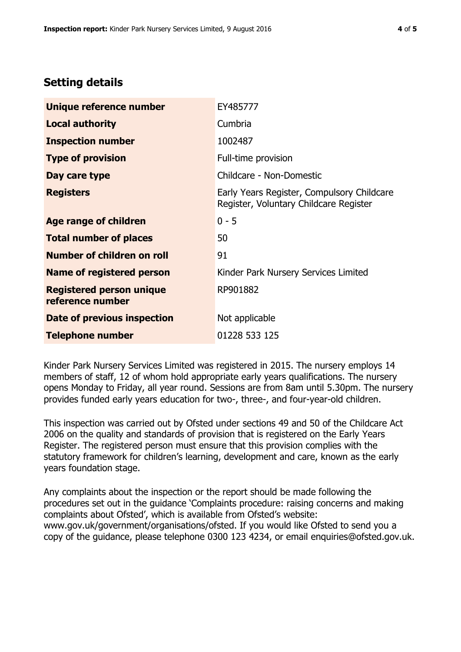## **Setting details**

| Unique reference number                             | EY485777                                                                             |  |
|-----------------------------------------------------|--------------------------------------------------------------------------------------|--|
| <b>Local authority</b>                              | Cumbria                                                                              |  |
| <b>Inspection number</b>                            | 1002487                                                                              |  |
| <b>Type of provision</b>                            | Full-time provision                                                                  |  |
| Day care type                                       | Childcare - Non-Domestic                                                             |  |
| <b>Registers</b>                                    | Early Years Register, Compulsory Childcare<br>Register, Voluntary Childcare Register |  |
| Age range of children                               | $0 - 5$                                                                              |  |
| <b>Total number of places</b>                       | 50                                                                                   |  |
| Number of children on roll                          | 91                                                                                   |  |
| Name of registered person                           | Kinder Park Nursery Services Limited                                                 |  |
| <b>Registered person unique</b><br>reference number | RP901882                                                                             |  |
| Date of previous inspection                         | Not applicable                                                                       |  |
| <b>Telephone number</b>                             | 01228 533 125                                                                        |  |

Kinder Park Nursery Services Limited was registered in 2015. The nursery employs 14 members of staff, 12 of whom hold appropriate early years qualifications. The nursery opens Monday to Friday, all year round. Sessions are from 8am until 5.30pm. The nursery provides funded early years education for two-, three-, and four-year-old children.

This inspection was carried out by Ofsted under sections 49 and 50 of the Childcare Act 2006 on the quality and standards of provision that is registered on the Early Years Register. The registered person must ensure that this provision complies with the statutory framework for children's learning, development and care, known as the early years foundation stage.

Any complaints about the inspection or the report should be made following the procedures set out in the guidance 'Complaints procedure: raising concerns and making complaints about Ofsted', which is available from Ofsted's website: www.gov.uk/government/organisations/ofsted. If you would like Ofsted to send you a copy of the guidance, please telephone 0300 123 4234, or email enquiries@ofsted.gov.uk.